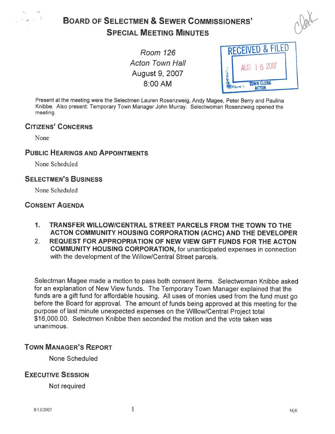

# BOARD OF SELECTMEN & SEWER COMMISSIONERS' **SPECIAL MEETING MINUTES**



**Acton Town Hall** August 9, 2007



Present at the meeting were the Selectmen Lauren Rosenzweig, Andy Magee, Peter Berry and Paulina Knibbe. Also present: Temporary Town Manager John Murray. Selectwoman Rosenzweig opene<sup>d</sup> the meeting.

#### CITIZENS' CONCERNS

None

#### PUBLIC HEARINGS AND APPOINTMENTS

None Scheduled

#### SELECTMEN'S BUSINESS

None Scheduled

#### CONSENT AGENDA

- 1. TRANSFER WILLOWICENTRAL STREET PARCELS FROM THE TOWN TO THE ACTON COMMUNITY HOUSING CORPORATION (ACHC) AND THE DEVELOPER
- 2. REQUEST FOR APPROPRIATION OF NEW VIEW GIFT FUNDS FOR THE ACTON COMMUNITY HOUSING CORPORATION, for unanticipated expenses in connection with the development of the Willow/Central Street parcels.

Selectman Magee made <sup>a</sup> motion to pass both consent items. Selectwoman Knibbe asked for an explanation of New View funds. The Temporary Town Manager explained that the funds are <sup>a</sup> <sup>g</sup>ift fund for affordable housing. All uses of monies used from the fund must go before the Board for approval. The amount of funds being approve<sup>d</sup> at this meeting for the purpose of last minute unexpected expenses on the Willow/Central Project total \$16,000.00. Selectmen Knibbe then seconded the motion and the vote taken was unanimous.

#### TOWN MANAGER'S REPORT

None Scheduled

### EXECUTIVE SESSION

Not required